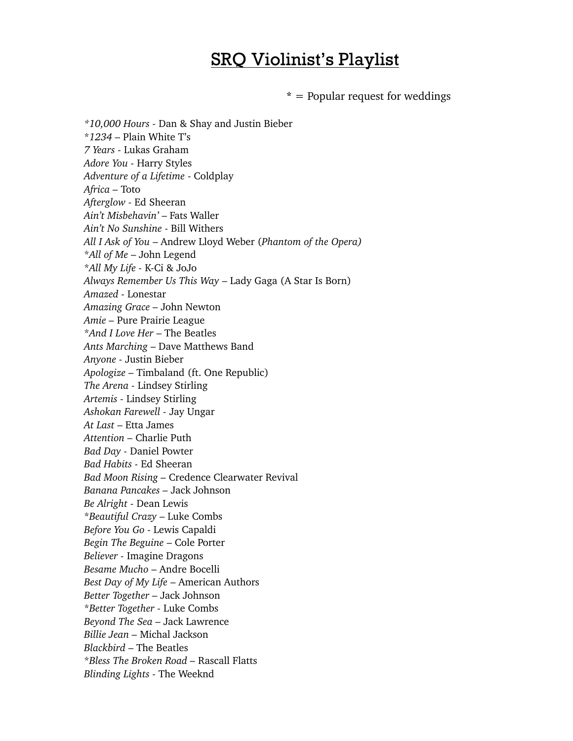## SRQ Violinist's Playlist

**\*** = Popular request for weddings

*\*10,000 Hours -* Dan & Shay and Justin Bieber \**1234 –* Plain White T's *7 Years -* Lukas Graham *Adore You -* Harry Styles *Adventure of a Lifetime* - Coldplay *Africa –* Toto *Afterglow -* Ed Sheeran *Ain't Misbehavin'* – Fats Waller *Ain't No Sunshine* - Bill Withers *All I Ask of You* – Andrew Lloyd Weber (*Phantom of the Opera)* \**All of Me* – John Legend \**All My Life -* K-Ci & JoJo *Always Remember Us This Way* – Lady Gaga (A Star Is Born) *Amazed -* Lonestar *Amazing Grace –* John Newton *Amie –* Pure Prairie League \**And I Love Her* – The Beatles *Ants Marching* – Dave Matthews Band *Anyone -* Justin Bieber *Apologize –* Timbaland (ft. One Republic) *The Arena -* Lindsey Stirling *Artemis -* Lindsey Stirling *Ashokan Farewell -* Jay Ungar *At Last* – Etta James *Attention –* Charlie Puth *Bad Day -* Daniel Powter *Bad Habits -* Ed Sheeran *Bad Moon Rising –* Credence Clearwater Revival *Banana Pancakes –* Jack Johnson *Be Alright -* Dean Lewis \**Beautiful Crazy* – Luke Combs *Before You Go -* Lewis Capaldi *Begin The Beguine* – Cole Porter *Believer -* Imagine Dragons *Besame Mucho* – Andre Bocelli *Best Day of My Life* – American Authors *Better Together –* Jack Johnson \**Better Together -* Luke Combs *Beyond The Sea –* Jack Lawrence *Billie Jean –* Michal Jackson *Blackbird* – The Beatles \**Bless The Broken Road –* Rascall Flatts *Blinding Lights -* The Weeknd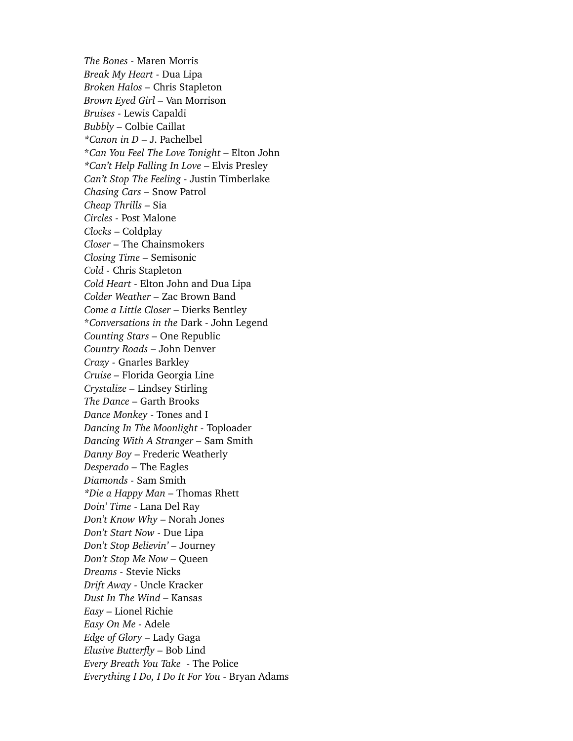*The Bones -* Maren Morris *Break My Heart -* Dua Lipa *Broken Halos –* Chris Stapleton *Brown Eyed Girl –* Van Morrison *Bruises -* Lewis Capaldi *Bubbly –* Colbie Caillat *\*Canon in D* – J. Pachelbel \**Can You Feel The Love Tonight* – Elton John *\*Can't Help Falling In Love* – Elvis Presley *Can't Stop The Feeling* - Justin Timberlake *Chasing Cars –* Snow Patrol *Cheap Thrills –* Sia *Circles -* Post Malone *Clocks* – Coldplay *Closer* – The Chainsmokers *Closing Time –* Semisonic *Cold -* Chris Stapleton *Cold Heart -* Elton John and Dua Lipa *Colder Weather –* Zac Brown Band *Come a Little Closer –* Dierks Bentley \**Conversations in the* Dark - John Legend *Counting Stars –* One Republic *Country Roads* – John Denver *Crazy -* Gnarles Barkley *Cruise –* Florida Georgia Line *Crystalize –* Lindsey Stirling *The Dance* – Garth Brooks *Dance Monkey* - Tones and I *Dancing In The Moonlight -* Toploader *Dancing With A Stranger –* Sam Smith *Danny Boy* – Frederic Weatherly *Desperado –* The Eagles *Diamonds -* Sam Smith *\*Die a Happy Man –* Thomas Rhett *Doin' Time* - Lana Del Ray *Don't Know Why* – Norah Jones *Don't Start Now -* Due Lipa *Don't Stop Believin' –* Journey *Don't Stop Me Now –* Queen *Dreams -* Stevie Nicks *Drift Away -* Uncle Kracker *Dust In The Wind –* Kansas *Easy –* Lionel Richie *Easy On Me -* Adele *Edge of Glory –* Lady Gaga *Elusive Butterfly –* Bob Lind *Every Breath You Take* - The Police *Everything I Do, I Do It For You -* Bryan Adams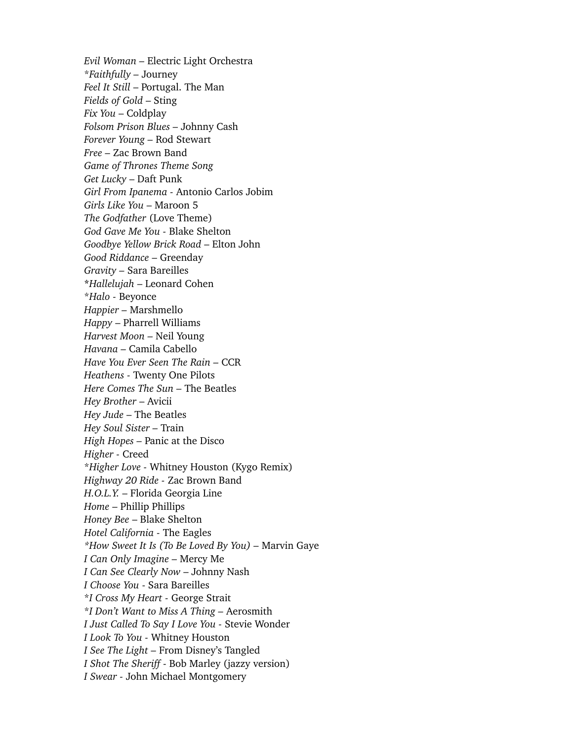*Evil Woman –* Electric Light Orchestra \**Faithfully –* Journey *Feel It Still* – Portugal. The Man *Fields of Gold* – Sting *Fix You* – Coldplay *Folsom Prison Blues –* Johnny Cash *Forever Young –* Rod Stewart *Free –* Zac Brown Band *Game of Thrones Theme Song Get Lucky* – Daft Punk *Girl From Ipanema -* Antonio Carlos Jobim *Girls Like You* – Maroon 5 *The Godfather* (Love Theme) *God Gave Me You -* Blake Shelton *Goodbye Yellow Brick Road* – Elton John *Good Riddance* – Greenday *Gravity –* Sara Bareilles **\****Hallelujah* – Leonard Cohen \**Halo -* Beyonce *Happier –* Marshmello *Happy* – Pharrell Williams *Harvest Moon –* Neil Young *Havana –* Camila Cabello *Have You Ever Seen The Rain –* CCR *Heathens -* Twenty One Pilots *Here Comes The Sun –* The Beatles *Hey Brother* – Avicii *Hey Jude* – The Beatles *Hey Soul Sister –* Train *High Hopes –* Panic at the Disco *Higher -* Creed \**Higher Love -* Whitney Houston (Kygo Remix) *Highway 20 Ride -* Zac Brown Band *H.O.L.Y.* – Florida Georgia Line *Home* – Phillip Phillips *Honey Bee* – Blake Shelton *Hotel California -* The Eagles *\*How Sweet It Is (To Be Loved By You) –* Marvin Gaye *I Can Only Imagine –* Mercy Me *I Can See Clearly Now* – Johnny Nash *I Choose You* - Sara Bareilles \**I Cross My Heart -* George Strait \**I Don't Want to Miss A Thing –* Aerosmith *I Just Called To Say I Love You -* Stevie Wonder *I Look To You -* Whitney Houston *I See The Light –* From Disney's Tangled *I Shot The Sheriff* - Bob Marley (jazzy version) *I Swear -* John Michael Montgomery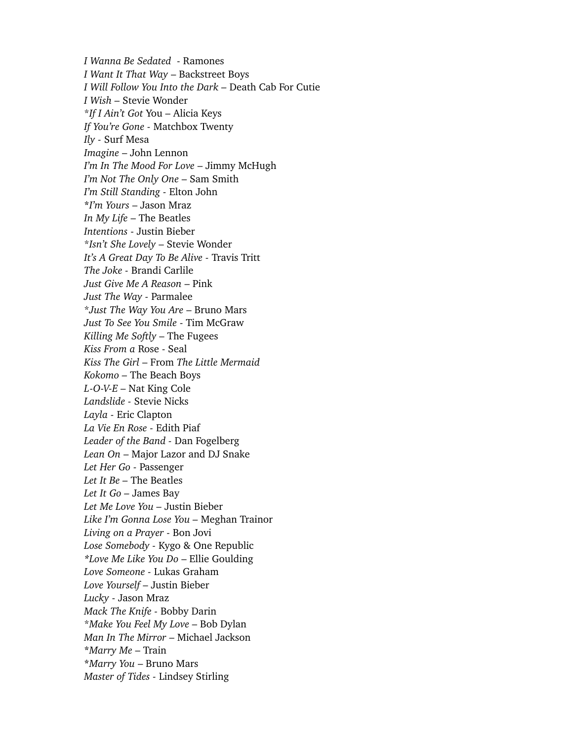*I Wanna Be Sedated* - Ramones *I Want It That Way* – Backstreet Boys *I Will Follow You Into the Dark –* Death Cab For Cutie *I Wish –* Stevie Wonder \**If I Ain't Got* You – Alicia Keys *If You're Gone -* Matchbox Twenty *Ily -* Surf Mesa *Imagine* – John Lennon *I'm In The Mood For Love* – Jimmy McHugh *I'm Not The Only One* – Sam Smith *I'm Still Standing -* Elton John **\****I'm Yours* – Jason Mraz *In My Life* – The Beatles *Intentions* - Justin Bieber \**Isn't She Lovely* – Stevie Wonder *It's A Great Day To Be Alive -* Travis Tritt *The Joke -* Brandi Carlile *Just Give Me A Reason* – Pink *Just The Way -* Parmalee \**Just The Way You Are* – Bruno Mars *Just To See You Smile* - Tim McGraw *Killing Me Softly* – The Fugees *Kiss From a* Rose - Seal *Kiss The Girl* – From *The Little Mermaid Kokomo –* The Beach Boys *L-O-V-E* – Nat King Cole *Landslide -* Stevie Nicks *Layla -* Eric Clapton *La Vie En Rose -* Edith Piaf *Leader of the Band -* Dan Fogelberg *Lean On* – Major Lazor and DJ Snake *Let Her Go -* Passenger *Let It Be –* The Beatles *Let It Go –* James Bay *Let Me Love You –* Justin Bieber *Like I'm Gonna Lose You –* Meghan Trainor *Living on a Prayer -* Bon Jovi *Lose Somebody -* Kygo & One Republic *\*Love Me Like You Do* – Ellie Goulding *Love Someone -* Lukas Graham *Love Yourself* – Justin Bieber *Lucky* - Jason Mraz *Mack The Knife -* Bobby Darin \**Make You Feel My Love –* Bob Dylan *Man In The Mirror* – Michael Jackson **\****Marry Me* – Train **\****Marry You* – Bruno Mars *Master of Tides -* Lindsey Stirling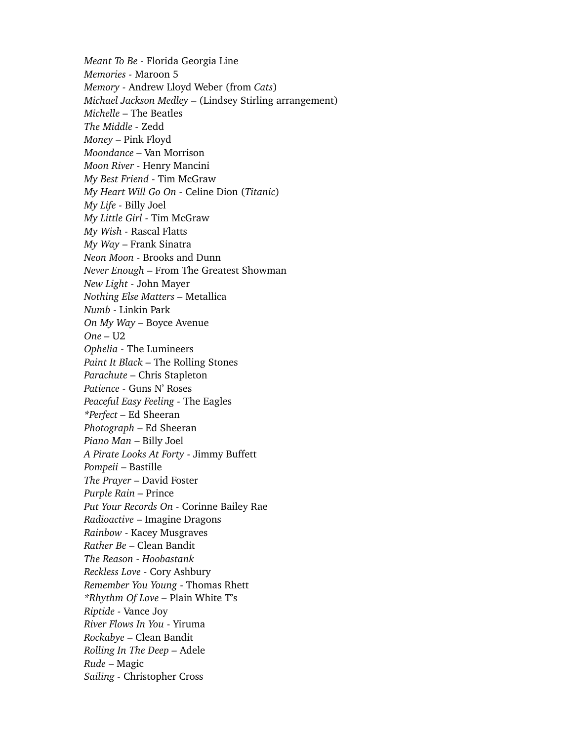*Meant To Be -* Florida Georgia Line *Memories -* Maroon 5 *Memory -* Andrew Lloyd Weber (from *Cats*) *Michael Jackson Medley* – (Lindsey Stirling arrangement) *Michelle* – The Beatles *The Middle -* Zedd *Money* – Pink Floyd *Moondance –* Van Morrison *Moon River -* Henry Mancini *My Best Friend* - Tim McGraw *My Heart Will Go On -* Celine Dion (*Titanic*) *My Life -* Billy Joel *My Little Girl -* Tim McGraw *My Wish -* Rascal Flatts *My Way* – Frank Sinatra *Neon Moon -* Brooks and Dunn *Never Enough* – From The Greatest Showman *New Light* - John Mayer *Nothing Else Matters –* Metallica *Numb -* Linkin Park *On My Way –* Boyce Avenue *One –* U2 *Ophelia -* The Lumineers *Paint It Black –* The Rolling Stones *Parachute* – Chris Stapleton *Patience -* Guns N' Roses *Peaceful Easy Feeling -* The Eagles *\*Perfect –* Ed Sheeran *Photograph* – Ed Sheeran *Piano Man* – Billy Joel *A Pirate Looks At Forty -* Jimmy Buffett *Pompeii* – Bastille *The Prayer* – David Foster *Purple Rain –* Prince *Put Your Records On -* Corinne Bailey Rae *Radioactive* – Imagine Dragons *Rainbow* - Kacey Musgraves *Rather Be* – Clean Bandit *The Reason - Hoobastank Reckless Love -* Cory Ashbury *Remember You Young* - Thomas Rhett *\*Rhythm Of Love –* Plain White T's *Riptide -* Vance Joy *River Flows In You* - Yiruma *Rockabye* – Clean Bandit *Rolling In The Deep –* Adele *Rude* – Magic *Sailing -* Christopher Cross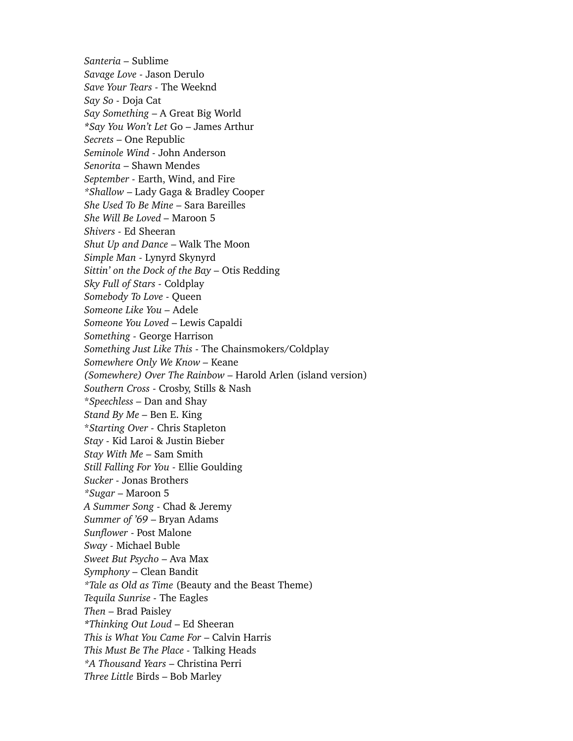*Santeria –* Sublime *Savage Love -* Jason Derulo *Save Your Tears -* The Weeknd *Say So -* Doja Cat *Say Something* – A Great Big World *\*Say You Won't Let* Go – James Arthur *Secrets* – One Republic *Seminole Wind -* John Anderson *Senorita* – Shawn Mendes *September -* Earth, Wind, and Fire *\*Shallow* – Lady Gaga & Bradley Cooper *She Used To Be Mine* – Sara Bareilles *She Will Be Loved –* Maroon 5 *Shivers -* Ed Sheeran *Shut Up and Dance* – Walk The Moon *Simple Man -* Lynyrd Skynyrd *Sittin' on the Dock of the Bay –* Otis Redding *Sky Full of Stars -* Coldplay *Somebody To Love -* Queen *Someone Like You –* Adele *Someone You Loved* – Lewis Capaldi *Something -* George Harrison *Something Just Like This* - The Chainsmokers/Coldplay *Somewhere Only We Know –* Keane *(Somewhere) Over The Rainbow* – Harold Arlen (island version) *Southern Cross* - Crosby, Stills & Nash \**Speechless –* Dan and Shay *Stand By Me –* Ben E. King \**Starting Over -* Chris Stapleton *Stay -* Kid Laroi & Justin Bieber *Stay With Me* – Sam Smith *Still Falling For You -* Ellie Goulding *Sucker -* Jonas Brothers *\*Sugar* – Maroon 5 *A Summer Song* - Chad & Jeremy *Summer of '69* – Bryan Adams *Sunflower* - Post Malone *Sway -* Michael Buble *Sweet But Psycho* – Ava Max *Symphony –* Clean Bandit *\*Tale as Old as Time* (Beauty and the Beast Theme) *Tequila Sunrise -* The Eagles *Then* – Brad Paisley *\*Thinking Out Loud* – Ed Sheeran *This is What You Came For* – Calvin Harris *This Must Be The Place -* Talking Heads *\*A Thousand Years* – Christina Perri *Three Little* Birds – Bob Marley